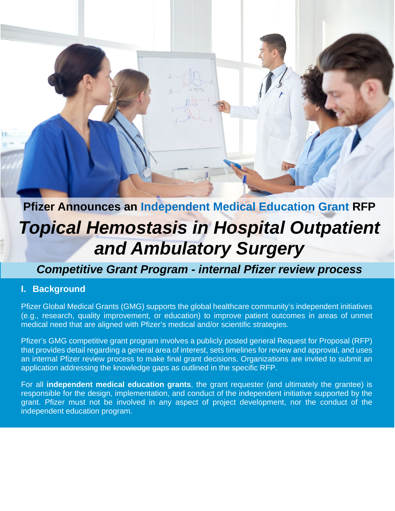# **Pfizer Announces an Independent Medical Education Grant RFP** *Topical Hemostasis in Hospital Outpatient and Ambulatory Surgery*

## *Competitive Grant Program - internal Pfizer review process*

#### **I. Background**

Pfizer Global Medical Grants (GMG) supports the global healthcare community's independent initiatives (e.g., research, quality improvement, or education) to improve patient outcomes in areas of unmet medical need that are aligned with Pfizer's medical and/or scientific strategies.

Pfizer's GMG competitive grant program involves a publicly posted general Request for Proposal (RFP) that provides detail regarding a general area of interest, sets timelines for review and approval, and uses an internal Pfizer review process to make final grant decisions. Organizations are invited to submit an application addressing the knowledge gaps as outlined in the specific RFP.

For all **independent medical education grants**, the grant requester (and ultimately the grantee) is responsible for the design, implementation, and conduct of the independent initiative supported by the grant. Pfizer must not be involved in any aspect of project development, nor the conduct of the independent education program.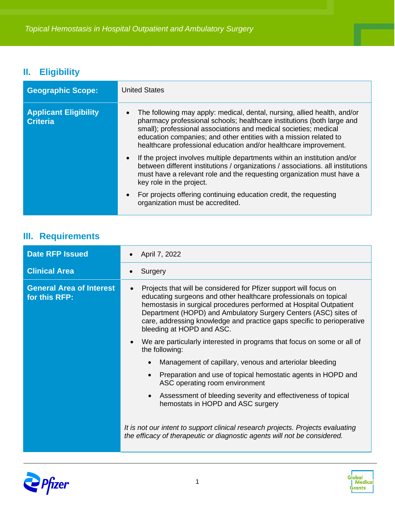## **II. Eligibility**

| <b>Geographic Scope:</b>                        | <b>United States</b>                                                                                                                                                                                                                                                                                                                                            |
|-------------------------------------------------|-----------------------------------------------------------------------------------------------------------------------------------------------------------------------------------------------------------------------------------------------------------------------------------------------------------------------------------------------------------------|
| <b>Applicant Eligibility</b><br><b>Criteria</b> | The following may apply: medical, dental, nursing, allied health, and/or<br>pharmacy professional schools; healthcare institutions (both large and<br>small); professional associations and medical societies; medical<br>education companies; and other entities with a mission related to<br>healthcare professional education and/or healthcare improvement. |
|                                                 | If the project involves multiple departments within an institution and/or<br>between different institutions / organizations / associations. all institutions<br>must have a relevant role and the requesting organization must have a<br>key role in the project.                                                                                               |
|                                                 | For projects offering continuing education credit, the requesting<br>organization must be accredited.                                                                                                                                                                                                                                                           |

## **III. Requirements**

| <b>Date RFP Issued</b>                           | April 7, 2022                                                                                                                                                                                                                                                                                                                                                                         |
|--------------------------------------------------|---------------------------------------------------------------------------------------------------------------------------------------------------------------------------------------------------------------------------------------------------------------------------------------------------------------------------------------------------------------------------------------|
| <b>Clinical Area</b>                             | Surgery                                                                                                                                                                                                                                                                                                                                                                               |
| <b>General Area of Interest</b><br>for this RFP: | Projects that will be considered for Pfizer support will focus on<br>educating surgeons and other healthcare professionals on topical<br>hemostasis in surgical procedures performed at Hospital Outpatient<br>Department (HOPD) and Ambulatory Surgery Centers (ASC) sites of<br>care, addressing knowledge and practice gaps specific to perioperative<br>bleeding at HOPD and ASC. |
|                                                  | We are particularly interested in programs that focus on some or all of<br>the following:                                                                                                                                                                                                                                                                                             |
|                                                  | Management of capillary, venous and arteriolar bleeding                                                                                                                                                                                                                                                                                                                               |
|                                                  | Preparation and use of topical hemostatic agents in HOPD and<br>ASC operating room environment                                                                                                                                                                                                                                                                                        |
|                                                  | Assessment of bleeding severity and effectiveness of topical<br>hemostats in HOPD and ASC surgery                                                                                                                                                                                                                                                                                     |
|                                                  | It is not our intent to support clinical research projects. Projects evaluating<br>the efficacy of therapeutic or diagnostic agents will not be considered.                                                                                                                                                                                                                           |



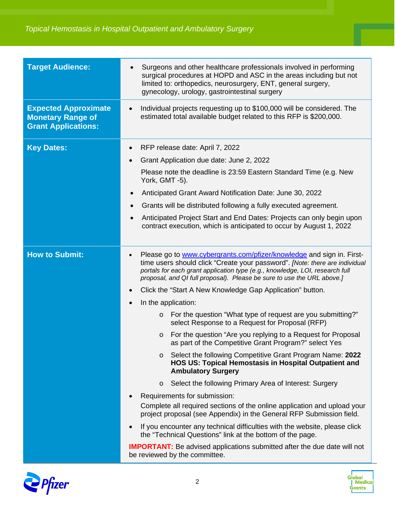| <b>Target Audience:</b>                                                               | Surgeons and other healthcare professionals involved in performing<br>surgical procedures at HOPD and ASC in the areas including but not<br>limited to: orthopedics, neurosurgery, ENT, general surgery,<br>gynecology, urology, gastrointestinal surgery                                                                                                                                                                                                                                                                                                                                                                                                                                                                                                                                                                                                                                                                                                                                                                                                                                                                                                                                                                                                                                                                                                 |
|---------------------------------------------------------------------------------------|-----------------------------------------------------------------------------------------------------------------------------------------------------------------------------------------------------------------------------------------------------------------------------------------------------------------------------------------------------------------------------------------------------------------------------------------------------------------------------------------------------------------------------------------------------------------------------------------------------------------------------------------------------------------------------------------------------------------------------------------------------------------------------------------------------------------------------------------------------------------------------------------------------------------------------------------------------------------------------------------------------------------------------------------------------------------------------------------------------------------------------------------------------------------------------------------------------------------------------------------------------------------------------------------------------------------------------------------------------------|
| <b>Expected Approximate</b><br><b>Monetary Range of</b><br><b>Grant Applications:</b> | Individual projects requesting up to \$100,000 will be considered. The<br>estimated total available budget related to this RFP is \$200,000.                                                                                                                                                                                                                                                                                                                                                                                                                                                                                                                                                                                                                                                                                                                                                                                                                                                                                                                                                                                                                                                                                                                                                                                                              |
| <b>Key Dates:</b>                                                                     | RFP release date: April 7, 2022<br>$\bullet$<br>Grant Application due date: June 2, 2022<br>$\bullet$<br>Please note the deadline is 23:59 Eastern Standard Time (e.g. New<br>York, GMT -5).<br>Anticipated Grant Award Notification Date: June 30, 2022<br>Grants will be distributed following a fully executed agreement.<br>$\bullet$<br>Anticipated Project Start and End Dates: Projects can only begin upon<br>$\bullet$<br>contract execution, which is anticipated to occur by August 1, 2022                                                                                                                                                                                                                                                                                                                                                                                                                                                                                                                                                                                                                                                                                                                                                                                                                                                    |
| <b>How to Submit:</b>                                                                 | Please go to www.cybergrants.com/pfizer/knowledge and sign in. First-<br>time users should click "Create your password". [Note: there are individual<br>portals for each grant application type (e.g., knowledge, LOI, research full<br>proposal, and QI full proposal). Please be sure to use the URL above.]<br>Click the "Start A New Knowledge Gap Application" button.<br>In the application:<br>For the question "What type of request are you submitting?"<br>$\circ$<br>select Response to a Request for Proposal (RFP)<br>For the question "Are you replying to a Request for Proposal<br>$\circ$<br>as part of the Competitive Grant Program?" select Yes<br>Select the following Competitive Grant Program Name: 2022<br>$\circ$<br>HOS US: Topical Hemostasis in Hospital Outpatient and<br><b>Ambulatory Surgery</b><br>Select the following Primary Area of Interest: Surgery<br>$\circ$<br>Requirements for submission:<br>Complete all required sections of the online application and upload your<br>project proposal (see Appendix) in the General RFP Submission field.<br>If you encounter any technical difficulties with the website, please click<br>the "Technical Questions" link at the bottom of the page.<br><b>IMPORTANT:</b> Be advised applications submitted after the due date will not<br>be reviewed by the committee. |



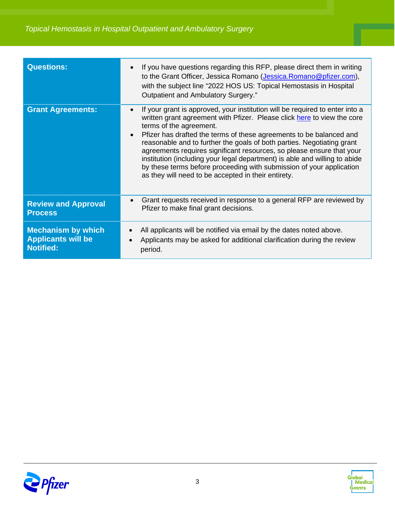| <b>Questions:</b>                                                          | If you have questions regarding this RFP, please direct them in writing<br>$\bullet$<br>to the Grant Officer, Jessica Romano (Jessica. Romano@pfizer.com),<br>with the subject line "2022 HOS US: Topical Hemostasis in Hospital<br>Outpatient and Ambulatory Surgery."                                                                                                                                                                                                                                                                                                                                                                             |
|----------------------------------------------------------------------------|-----------------------------------------------------------------------------------------------------------------------------------------------------------------------------------------------------------------------------------------------------------------------------------------------------------------------------------------------------------------------------------------------------------------------------------------------------------------------------------------------------------------------------------------------------------------------------------------------------------------------------------------------------|
| <b>Grant Agreements:</b>                                                   | If your grant is approved, your institution will be required to enter into a<br>$\bullet$<br>written grant agreement with Pfizer. Please click here to view the core<br>terms of the agreement.<br>Pfizer has drafted the terms of these agreements to be balanced and<br>$\bullet$<br>reasonable and to further the goals of both parties. Negotiating grant<br>agreements requires significant resources, so please ensure that your<br>institution (including your legal department) is able and willing to abide<br>by these terms before proceeding with submission of your application<br>as they will need to be accepted in their entirety. |
| <b>Review and Approval</b><br><b>Process</b>                               | Grant requests received in response to a general RFP are reviewed by<br>$\bullet$<br>Pfizer to make final grant decisions.                                                                                                                                                                                                                                                                                                                                                                                                                                                                                                                          |
| <b>Mechanism by which</b><br><b>Applicants will be</b><br><b>Notified:</b> | All applicants will be notified via email by the dates noted above.<br>Applicants may be asked for additional clarification during the review<br>period.                                                                                                                                                                                                                                                                                                                                                                                                                                                                                            |



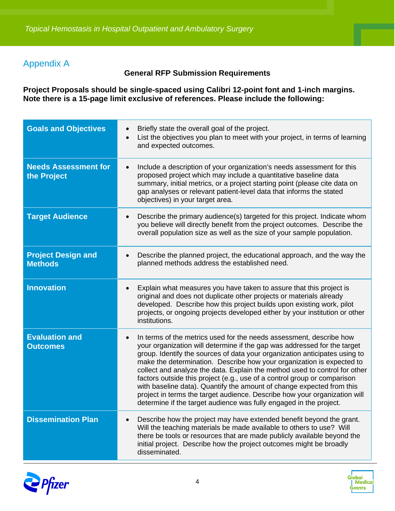#### Appendix A

#### **General RFP Submission Requirements**

**Project Proposals should be single-spaced using Calibri 12-point font and 1-inch margins. Note there is a 15-page limit exclusive of references. Please include the following:**

| <b>Goals and Objectives</b>                 | Briefly state the overall goal of the project.<br>List the objectives you plan to meet with your project, in terms of learning<br>and expected outcomes.                                                                                                                                                                                                                                                                                                                                                                                                                                                                                                                                                  |
|---------------------------------------------|-----------------------------------------------------------------------------------------------------------------------------------------------------------------------------------------------------------------------------------------------------------------------------------------------------------------------------------------------------------------------------------------------------------------------------------------------------------------------------------------------------------------------------------------------------------------------------------------------------------------------------------------------------------------------------------------------------------|
| <b>Needs Assessment for</b><br>the Project  | Include a description of your organization's needs assessment for this<br>$\bullet$<br>proposed project which may include a quantitative baseline data<br>summary, initial metrics, or a project starting point (please cite data on<br>gap analyses or relevant patient-level data that informs the stated<br>objectives) in your target area.                                                                                                                                                                                                                                                                                                                                                           |
| <b>Target Audience</b>                      | Describe the primary audience(s) targeted for this project. Indicate whom<br>$\bullet$<br>you believe will directly benefit from the project outcomes. Describe the<br>overall population size as well as the size of your sample population.                                                                                                                                                                                                                                                                                                                                                                                                                                                             |
| <b>Project Design and</b><br><b>Methods</b> | Describe the planned project, the educational approach, and the way the<br>$\bullet$<br>planned methods address the established need.                                                                                                                                                                                                                                                                                                                                                                                                                                                                                                                                                                     |
| <b>Innovation</b>                           | Explain what measures you have taken to assure that this project is<br>original and does not duplicate other projects or materials already<br>developed. Describe how this project builds upon existing work, pilot<br>projects, or ongoing projects developed either by your institution or other<br>institutions.                                                                                                                                                                                                                                                                                                                                                                                       |
| <b>Evaluation and</b><br><b>Outcomes</b>    | In terms of the metrics used for the needs assessment, describe how<br>$\bullet$<br>your organization will determine if the gap was addressed for the target<br>group. Identify the sources of data your organization anticipates using to<br>make the determination. Describe how your organization is expected to<br>collect and analyze the data. Explain the method used to control for other<br>factors outside this project (e.g., use of a control group or comparison<br>with baseline data). Quantify the amount of change expected from this<br>project in terms the target audience. Describe how your organization will<br>determine if the target audience was fully engaged in the project. |
| <b>Dissemination Plan</b>                   | Describe how the project may have extended benefit beyond the grant.<br>Will the teaching materials be made available to others to use? Will<br>there be tools or resources that are made publicly available beyond the<br>initial project. Describe how the project outcomes might be broadly<br>disseminated.                                                                                                                                                                                                                                                                                                                                                                                           |